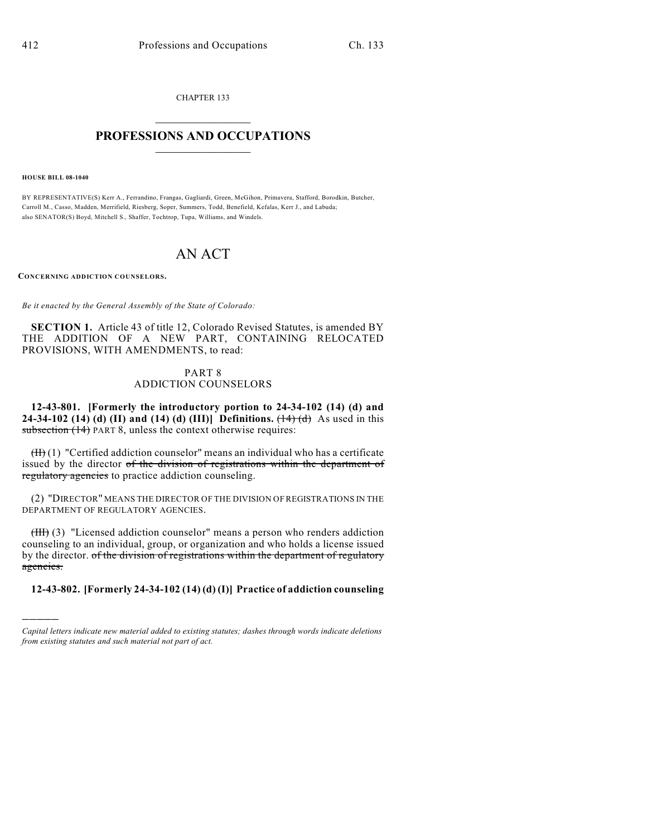CHAPTER 133  $\mathcal{L}_\text{max}$  . The set of the set of the set of the set of the set of the set of the set of the set of the set of the set of the set of the set of the set of the set of the set of the set of the set of the set of the set

## **PROFESSIONS AND OCCUPATIONS**  $\frac{1}{2}$  ,  $\frac{1}{2}$  ,  $\frac{1}{2}$  ,  $\frac{1}{2}$  ,  $\frac{1}{2}$  ,  $\frac{1}{2}$

**HOUSE BILL 08-1040**

)))))

BY REPRESENTATIVE(S) Kerr A., Ferrandino, Frangas, Gagliardi, Green, McGihon, Primavera, Stafford, Borodkin, Butcher, Carroll M., Casso, Madden, Merrifield, Riesberg, Soper, Summers, Todd, Benefield, Kefalas, Kerr J., and Labuda; also SENATOR(S) Boyd, Mitchell S., Shaffer, Tochtrop, Tupa, Williams, and Windels.

## AN ACT

**CONCERNING ADDICTION COUNSELORS.**

*Be it enacted by the General Assembly of the State of Colorado:*

**SECTION 1.** Article 43 of title 12, Colorado Revised Statutes, is amended BY THE ADDITION OF A NEW PART, CONTAINING RELOCATED PROVISIONS, WITH AMENDMENTS, to read:

## PART 8 ADDICTION COUNSELORS

**12-43-801. [Formerly the introductory portion to 24-34-102 (14) (d) and 24-34-102 (14) (d) (II) and (14) (d) (III)] Definitions.**  $(\frac{14}{d})$  As used in this subsection (14) PART 8, unless the context otherwise requires:

 $(H)$  (1) "Certified addiction counselor" means an individual who has a certificate issued by the director of the division of registrations within the department of regulatory agencies to practice addiction counseling.

(2) "DIRECTOR" MEANS THE DIRECTOR OF THE DIVISION OF REGISTRATIONS IN THE DEPARTMENT OF REGULATORY AGENCIES.

(III) (3) "Licensed addiction counselor" means a person who renders addiction counseling to an individual, group, or organization and who holds a license issued by the director. of the division of registrations within the department of regulatory agencies.

**12-43-802. [Formerly 24-34-102 (14) (d) (I)] Practice of addiction counseling**

*Capital letters indicate new material added to existing statutes; dashes through words indicate deletions from existing statutes and such material not part of act.*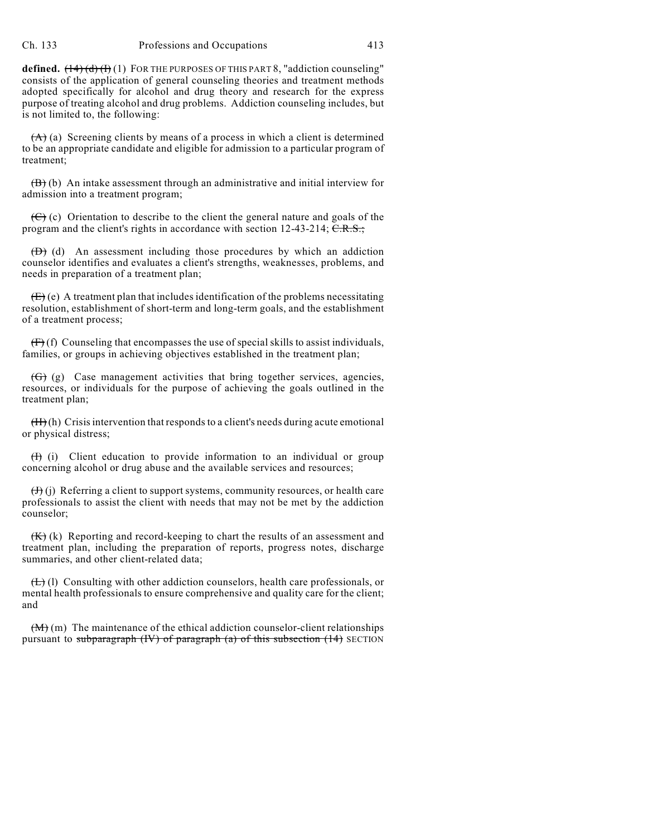**defined.**  $(14)(d)(f)(1)$  FOR THE PURPOSES OF THIS PART 8, "addiction counseling" consists of the application of general counseling theories and treatment methods adopted specifically for alcohol and drug theory and research for the express purpose of treating alcohol and drug problems. Addiction counseling includes, but is not limited to, the following:

 $(A)$  (a) Screening clients by means of a process in which a client is determined to be an appropriate candidate and eligible for admission to a particular program of treatment;

 $(\overrightarrow{B})$  (b) An intake assessment through an administrative and initial interview for admission into a treatment program;

 $(\epsilon)$  (c) Orientation to describe to the client the general nature and goals of the program and the client's rights in accordance with section  $12-43-214$ ; C.R.S.;

 $(D)$  (d) An assessment including those procedures by which an addiction counselor identifies and evaluates a client's strengths, weaknesses, problems, and needs in preparation of a treatment plan;

 $(E)$  (e) A treatment plan that includes identification of the problems necessitating resolution, establishment of short-term and long-term goals, and the establishment of a treatment process;

 $(f<sup>F</sup>)$  (f) Counseling that encompasses the use of special skills to assist individuals, families, or groups in achieving objectives established in the treatment plan;

(G) (g) Case management activities that bring together services, agencies, resources, or individuals for the purpose of achieving the goals outlined in the treatment plan;

 $(H)$  (h) Crisis intervention that responds to a client's needs during acute emotional or physical distress;

 $(H)$  (i) Client education to provide information to an individual or group concerning alcohol or drug abuse and the available services and resources;

 $(H)$  (j) Referring a client to support systems, community resources, or health care professionals to assist the client with needs that may not be met by the addiction counselor;

 $(K)$  (k) Reporting and record-keeping to chart the results of an assessment and treatment plan, including the preparation of reports, progress notes, discharge summaries, and other client-related data;

 $(H)$  (l) Consulting with other addiction counselors, health care professionals, or mental health professionals to ensure comprehensive and quality care for the client; and

 $(M)$  (m) The maintenance of the ethical addiction counselor-client relationships pursuant to subparagraph  $(W)$  of paragraph  $(a)$  of this subsection  $(14)$  SECTION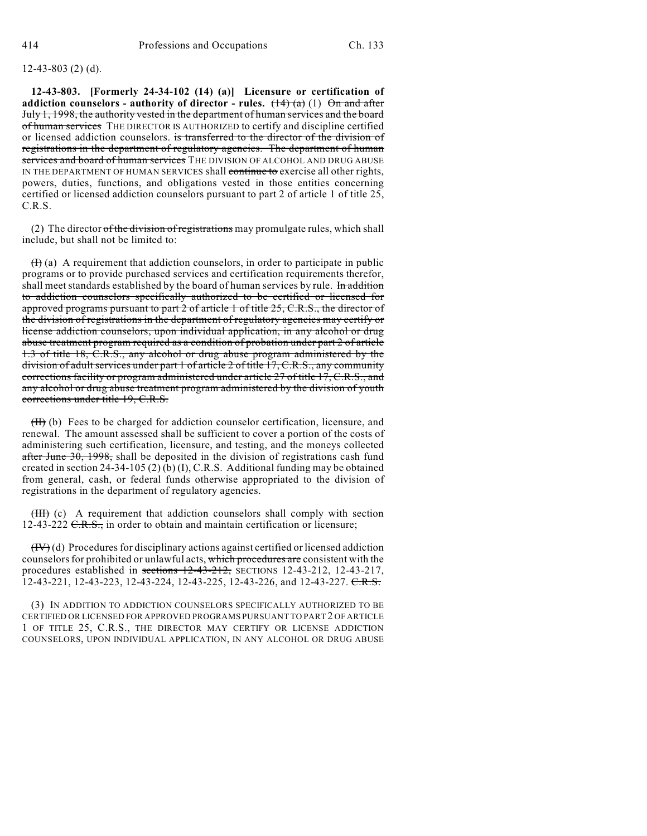## 12-43-803 (2) (d).

**12-43-803. [Formerly 24-34-102 (14) (a)] Licensure or certification of** addiction counselors - authority of director - rules.  $(\frac{14}{a})(1)$   $\Theta$ n and after July 1, 1998, the authority vested in the department of human services and the board of human services THE DIRECTOR IS AUTHORIZED to certify and discipline certified or licensed addiction counselors. is transferred to the director of the division of registrations in the department of regulatory agencies. The department of human services and board of human services THE DIVISION OF ALCOHOL AND DRUG ABUSE IN THE DEPARTMENT OF HUMAN SERVICES shall continue to exercise all other rights, powers, duties, functions, and obligations vested in those entities concerning certified or licensed addiction counselors pursuant to part 2 of article 1 of title 25, C.R.S.

(2) The director of the division of registrations may promulgate rules, which shall include, but shall not be limited to:

 $(H)$  (a) A requirement that addiction counselors, in order to participate in public programs or to provide purchased services and certification requirements therefor, shall meet standards established by the board of human services by rule. In addition to addiction counselors specifically authorized to be certified or licensed for approved programs pursuant to part  $2$  of article 1 of title  $25, C.R.S.,$  the director of the division of registrations in the department of regulatory agencies may certify or license addiction counselors, upon individual application, in any alcohol or drug abuse treatment program required as a condition of probation under part 2 of article 1.3 of title 18, C.R.S., any alcohol or drug abuse program administered by the division of adult services under part 1 of article 2 of title 17, C.R.S., any community corrections facility or program administered under article 27 of title 17, C.R.S., and any alcohol or drug abuse treatment program administered by the division of youth corrections under title 19, C.R.S.

(II) (b) Fees to be charged for addiction counselor certification, licensure, and renewal. The amount assessed shall be sufficient to cover a portion of the costs of administering such certification, licensure, and testing, and the moneys collected after June  $30$ ,  $1998$ , shall be deposited in the division of registrations cash fund created in section 24-34-105 (2) (b) (I), C.R.S. Additional funding may be obtained from general, cash, or federal funds otherwise appropriated to the division of registrations in the department of regulatory agencies.

(III) (c) A requirement that addiction counselors shall comply with section  $12-43-222$  C.R.S., in order to obtain and maintain certification or licensure;

 $(HV)(d)$  Procedures for disciplinary actions against certified or licensed addiction counselors for prohibited or unlawful acts, which procedures are consistent with the procedures established in sections  $12-43-212$ , SECTIONS 12-43-212, 12-43-217, 12-43-221, 12-43-223, 12-43-224, 12-43-225, 12-43-226, and 12-43-227. C.R.S.

(3) IN ADDITION TO ADDICTION COUNSELORS SPECIFICALLY AUTHORIZED TO BE CERTIFIED OR LICENSED FOR APPROVED PROGRAMS PURSUANT TO PART 2 OF ARTICLE 1 OF TITLE 25, C.R.S., THE DIRECTOR MAY CERTIFY OR LICENSE ADDICTION COUNSELORS, UPON INDIVIDUAL APPLICATION, IN ANY ALCOHOL OR DRUG ABUSE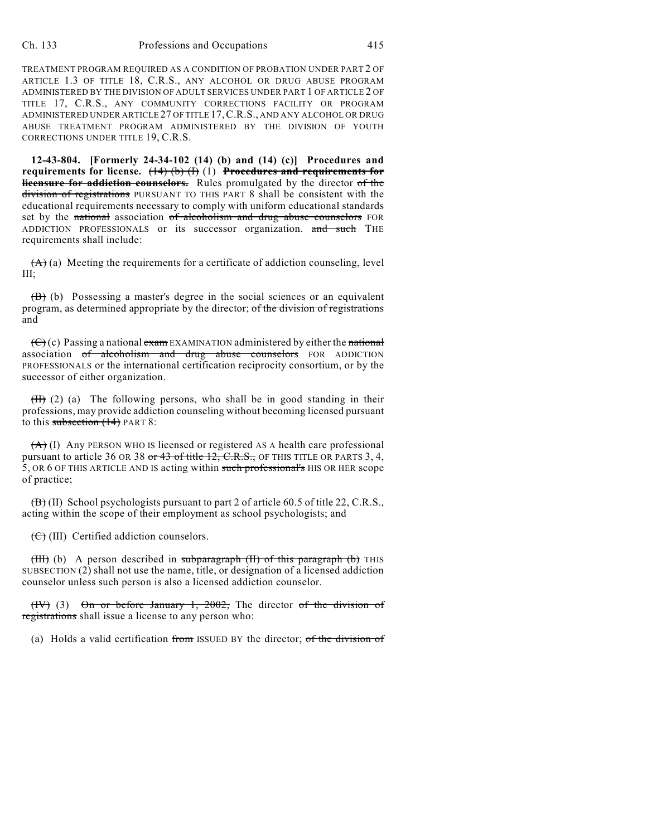TREATMENT PROGRAM REQUIRED AS A CONDITION OF PROBATION UNDER PART 2 OF ARTICLE 1.3 OF TITLE 18, C.R.S., ANY ALCOHOL OR DRUG ABUSE PROGRAM ADMINISTERED BY THE DIVISION OF ADULT SERVICES UNDER PART 1 OF ARTICLE 2 OF TITLE 17, C.R.S., ANY COMMUNITY CORRECTIONS FACILITY OR PROGRAM ADMINISTERED UNDER ARTICLE 27 OF TITLE 17,C.R.S., AND ANY ALCOHOL OR DRUG ABUSE TREATMENT PROGRAM ADMINISTERED BY THE DIVISION OF YOUTH CORRECTIONS UNDER TITLE 19, C.R.S.

**12-43-804. [Formerly 24-34-102 (14) (b) and (14) (c)] Procedures and requirements for license.** (14) (b) (I) (1) **Procedures and requirements for licensure for addiction counselors.** Rules promulgated by the director of the division of registrations PURSUANT TO THIS PART 8 shall be consistent with the educational requirements necessary to comply with uniform educational standards set by the national association of alcoholism and drug abuse counselors FOR ADDICTION PROFESSIONALS or its successor organization. and such THE requirements shall include:

 $(A)$  (a) Meeting the requirements for a certificate of addiction counseling, level III;

(B) (b) Possessing a master's degree in the social sciences or an equivalent program, as determined appropriate by the director; of the division of registrations and

 $(\theta)$  (c) Passing a national  $\theta$  exam EXAMINATION administered by either the national association of alcoholism and drug abuse counselors FOR ADDICTION PROFESSIONALS or the international certification reciprocity consortium, or by the successor of either organization.

 $(H)$  (2) (a) The following persons, who shall be in good standing in their professions, may provide addiction counseling without becoming licensed pursuant to this subsection (14) PART 8:

 $(A)$  (I) Any PERSON WHO IS licensed or registered AS A health care professional pursuant to article 36 OR 38 or 43 of title 12, C.R.S., OF THIS TITLE OR PARTS 3, 4, 5, OR 6 OF THIS ARTICLE AND IS acting within such professional's HIS OR HER scope of practice;

 $(\overline{B})$  (II) School psychologists pursuant to part 2 of article 60.5 of title 22, C.R.S., acting within the scope of their employment as school psychologists; and

 $(\bigoplus)(III)$  Certified addiction counselors.

(III) (b) A person described in subparagraph (II) of this paragraph (b) THIS SUBSECTION (2) shall not use the name, title, or designation of a licensed addiction counselor unless such person is also a licensed addiction counselor.

(IV) (3) On or before January 1, 2002, The director of the division of registrations shall issue a license to any person who:

(a) Holds a valid certification from ISSUED BY the director; of the division of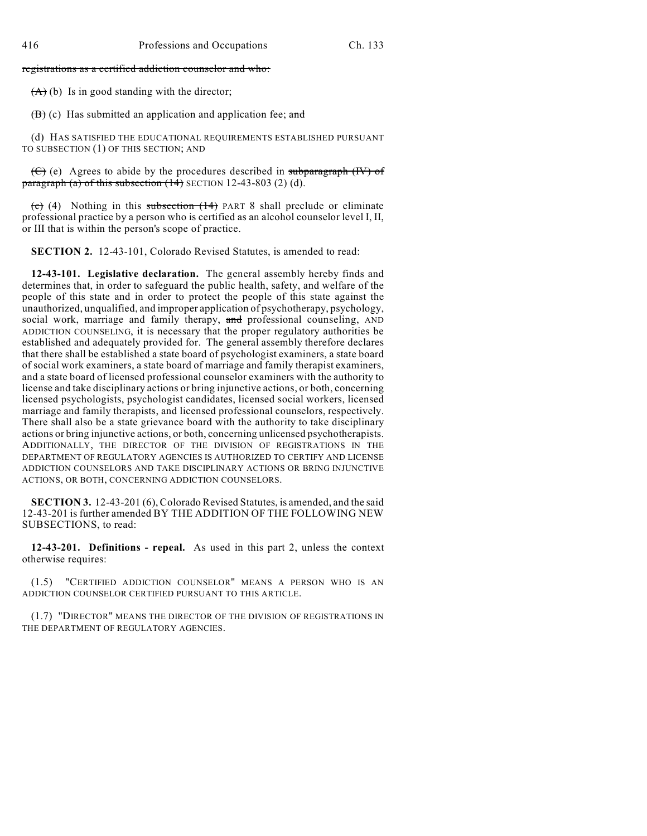registrations as a certified addiction counselor and who:

 $(A)$  (b) Is in good standing with the director;

 $(\overline{B})$  (c) Has submitted an application and application fee; and

(d) HAS SATISFIED THE EDUCATIONAL REQUIREMENTS ESTABLISHED PURSUANT TO SUBSECTION (1) OF THIS SECTION; AND

(C) (e) Agrees to abide by the procedures described in subparagraph (IV) of paragraph (a) of this subsection  $(14)$  SECTION 12-43-803 (2) (d).

 $\overline{(e)}$  (4) Nothing in this subsection  $(14)$  PART 8 shall preclude or eliminate professional practice by a person who is certified as an alcohol counselor level I, II, or III that is within the person's scope of practice.

**SECTION 2.** 12-43-101, Colorado Revised Statutes, is amended to read:

**12-43-101. Legislative declaration.** The general assembly hereby finds and determines that, in order to safeguard the public health, safety, and welfare of the people of this state and in order to protect the people of this state against the unauthorized, unqualified, and improper application of psychotherapy, psychology, social work, marriage and family therapy, and professional counseling, AND ADDICTION COUNSELING, it is necessary that the proper regulatory authorities be established and adequately provided for. The general assembly therefore declares that there shall be established a state board of psychologist examiners, a state board of social work examiners, a state board of marriage and family therapist examiners, and a state board of licensed professional counselor examiners with the authority to license and take disciplinary actions or bring injunctive actions, or both, concerning licensed psychologists, psychologist candidates, licensed social workers, licensed marriage and family therapists, and licensed professional counselors, respectively. There shall also be a state grievance board with the authority to take disciplinary actions or bring injunctive actions, or both, concerning unlicensed psychotherapists. ADDITIONALLY, THE DIRECTOR OF THE DIVISION OF REGISTRATIONS IN THE DEPARTMENT OF REGULATORY AGENCIES IS AUTHORIZED TO CERTIFY AND LICENSE ADDICTION COUNSELORS AND TAKE DISCIPLINARY ACTIONS OR BRING INJUNCTIVE ACTIONS, OR BOTH, CONCERNING ADDICTION COUNSELORS.

**SECTION 3.** 12-43-201 (6), Colorado Revised Statutes, is amended, and the said 12-43-201 is further amended BY THE ADDITION OF THE FOLLOWING NEW SUBSECTIONS, to read:

**12-43-201. Definitions - repeal.** As used in this part 2, unless the context otherwise requires:

(1.5) "CERTIFIED ADDICTION COUNSELOR" MEANS A PERSON WHO IS AN ADDICTION COUNSELOR CERTIFIED PURSUANT TO THIS ARTICLE.

(1.7) "DIRECTOR" MEANS THE DIRECTOR OF THE DIVISION OF REGISTRATIONS IN THE DEPARTMENT OF REGULATORY AGENCIES.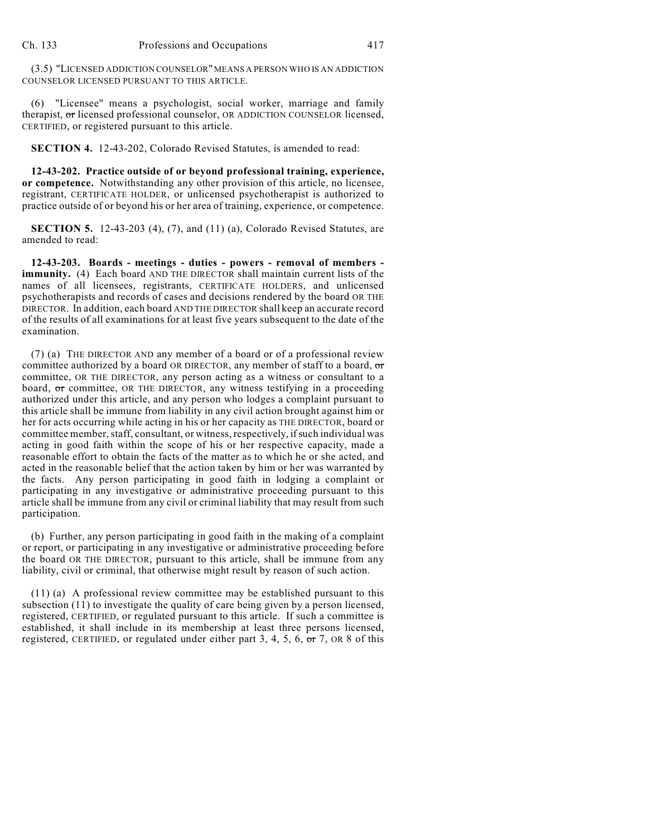(3.5) "LICENSED ADDICTION COUNSELOR" MEANS A PERSON WHO IS AN ADDICTION COUNSELOR LICENSED PURSUANT TO THIS ARTICLE.

(6) "Licensee" means a psychologist, social worker, marriage and family therapist, or licensed professional counselor, OR ADDICTION COUNSELOR licensed, CERTIFIED, or registered pursuant to this article.

**SECTION 4.** 12-43-202, Colorado Revised Statutes, is amended to read:

**12-43-202. Practice outside of or beyond professional training, experience, or competence.** Notwithstanding any other provision of this article, no licensee, registrant, CERTIFICATE HOLDER, or unlicensed psychotherapist is authorized to practice outside of or beyond his or her area of training, experience, or competence.

**SECTION 5.** 12-43-203 (4), (7), and (11) (a), Colorado Revised Statutes, are amended to read:

**12-43-203. Boards - meetings - duties - powers - removal of members immunity.** (4) Each board AND THE DIRECTOR shall maintain current lists of the names of all licensees, registrants, CERTIFICATE HOLDERS, and unlicensed psychotherapists and records of cases and decisions rendered by the board OR THE DIRECTOR. In addition, each board AND THE DIRECTOR shall keep an accurate record of the results of all examinations for at least five years subsequent to the date of the examination.

(7) (a) THE DIRECTOR AND any member of a board or of a professional review committee authorized by a board OR DIRECTOR, any member of staff to a board,  $\sigma$ committee, OR THE DIRECTOR, any person acting as a witness or consultant to a board, or committee, OR THE DIRECTOR, any witness testifying in a proceeding authorized under this article, and any person who lodges a complaint pursuant to this article shall be immune from liability in any civil action brought against him or her for acts occurring while acting in his or her capacity as THE DIRECTOR, board or committee member, staff, consultant, or witness, respectively, if such individual was acting in good faith within the scope of his or her respective capacity, made a reasonable effort to obtain the facts of the matter as to which he or she acted, and acted in the reasonable belief that the action taken by him or her was warranted by the facts. Any person participating in good faith in lodging a complaint or participating in any investigative or administrative proceeding pursuant to this article shall be immune from any civil or criminal liability that may result from such participation.

(b) Further, any person participating in good faith in the making of a complaint or report, or participating in any investigative or administrative proceeding before the board OR THE DIRECTOR, pursuant to this article, shall be immune from any liability, civil or criminal, that otherwise might result by reason of such action.

(11) (a) A professional review committee may be established pursuant to this subsection (11) to investigate the quality of care being given by a person licensed, registered, CERTIFIED, or regulated pursuant to this article. If such a committee is established, it shall include in its membership at least three persons licensed, registered, CERTIFIED, or regulated under either part 3, 4, 5, 6,  $\overline{or}$  7, OR 8 of this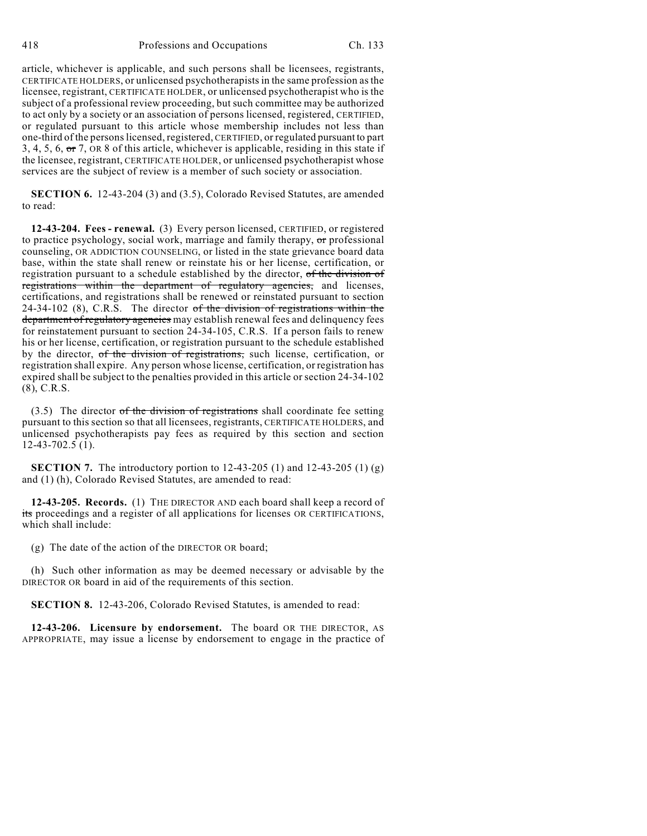article, whichever is applicable, and such persons shall be licensees, registrants, CERTIFICATE HOLDERS, or unlicensed psychotherapists in the same profession as the licensee, registrant, CERTIFICATE HOLDER, or unlicensed psychotherapist who is the subject of a professional review proceeding, but such committee may be authorized to act only by a society or an association of persons licensed, registered, CERTIFIED, or regulated pursuant to this article whose membership includes not less than one-third of the persons licensed, registered, CERTIFIED, or regulated pursuant to part 3, 4, 5, 6, or 7, OR 8 of this article, whichever is applicable, residing in this state if the licensee, registrant, CERTIFICATE HOLDER, or unlicensed psychotherapist whose services are the subject of review is a member of such society or association.

**SECTION 6.** 12-43-204 (3) and (3.5), Colorado Revised Statutes, are amended to read:

**12-43-204. Fees - renewal.** (3) Every person licensed, CERTIFIED, or registered to practice psychology, social work, marriage and family therapy, or professional counseling, OR ADDICTION COUNSELING, or listed in the state grievance board data base, within the state shall renew or reinstate his or her license, certification, or registration pursuant to a schedule established by the director, of the division of registrations within the department of regulatory agencies, and licenses, certifications, and registrations shall be renewed or reinstated pursuant to section 24-34-102 (8), C.R.S. The director of the division of registrations within the department of regulatory agencies may establish renewal fees and delinquency fees for reinstatement pursuant to section 24-34-105, C.R.S. If a person fails to renew his or her license, certification, or registration pursuant to the schedule established by the director, of the division of registrations, such license, certification, or registration shall expire. Any person whose license, certification, or registration has expired shall be subject to the penalties provided in this article or section 24-34-102 (8), C.R.S.

 $(3.5)$  The director of the division of registrations shall coordinate fee setting pursuant to this section so that all licensees, registrants, CERTIFICATE HOLDERS, and unlicensed psychotherapists pay fees as required by this section and section 12-43-702.5 (1).

**SECTION 7.** The introductory portion to 12-43-205 (1) and 12-43-205 (1) (g) and (1) (h), Colorado Revised Statutes, are amended to read:

**12-43-205. Records.** (1) THE DIRECTOR AND each board shall keep a record of its proceedings and a register of all applications for licenses OR CERTIFICATIONS, which shall include:

(g) The date of the action of the DIRECTOR OR board;

(h) Such other information as may be deemed necessary or advisable by the DIRECTOR OR board in aid of the requirements of this section.

**SECTION 8.** 12-43-206, Colorado Revised Statutes, is amended to read:

**12-43-206. Licensure by endorsement.** The board OR THE DIRECTOR, AS APPROPRIATE, may issue a license by endorsement to engage in the practice of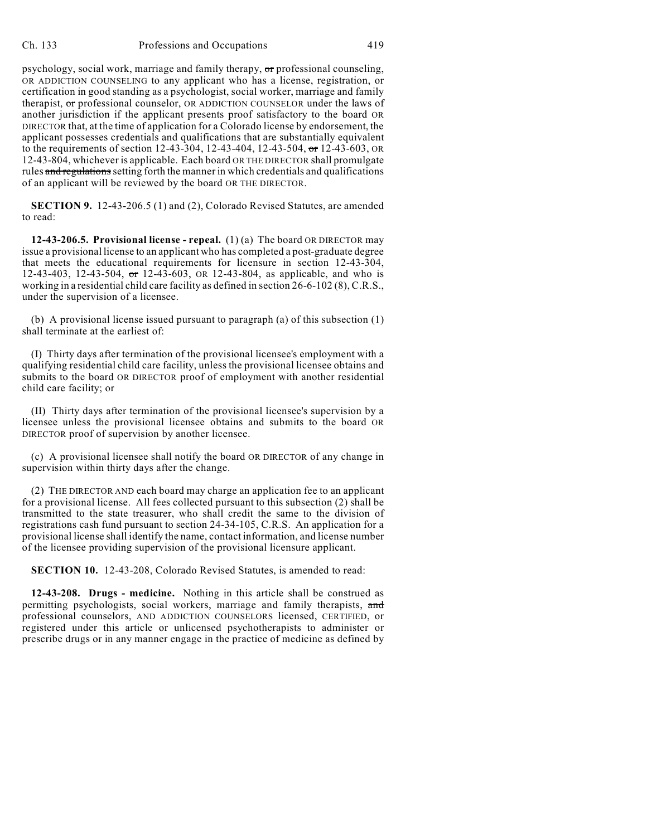psychology, social work, marriage and family therapy,  $\sigma r$  professional counseling, OR ADDICTION COUNSELING to any applicant who has a license, registration, or certification in good standing as a psychologist, social worker, marriage and family therapist, or professional counselor, OR ADDICTION COUNSELOR under the laws of another jurisdiction if the applicant presents proof satisfactory to the board OR DIRECTOR that, at the time of application for a Colorado license by endorsement, the applicant possesses credentials and qualifications that are substantially equivalent to the requirements of section 12-43-304, 12-43-404, 12-43-504, or 12-43-603, OR 12-43-804, whichever is applicable. Each board OR THE DIRECTOR shall promulgate rules and regulations setting forth the manner in which credentials and qualifications of an applicant will be reviewed by the board OR THE DIRECTOR.

**SECTION 9.** 12-43-206.5 (1) and (2), Colorado Revised Statutes, are amended to read:

**12-43-206.5. Provisional license - repeal.** (1) (a) The board OR DIRECTOR may issue a provisional license to an applicant who has completed a post-graduate degree that meets the educational requirements for licensure in section 12-43-304, 12-43-403, 12-43-504, or 12-43-603, OR 12-43-804, as applicable, and who is working in a residential child care facility as defined in section 26-6-102 (8), C.R.S., under the supervision of a licensee.

(b) A provisional license issued pursuant to paragraph (a) of this subsection (1) shall terminate at the earliest of:

(I) Thirty days after termination of the provisional licensee's employment with a qualifying residential child care facility, unless the provisional licensee obtains and submits to the board OR DIRECTOR proof of employment with another residential child care facility; or

(II) Thirty days after termination of the provisional licensee's supervision by a licensee unless the provisional licensee obtains and submits to the board OR DIRECTOR proof of supervision by another licensee.

(c) A provisional licensee shall notify the board OR DIRECTOR of any change in supervision within thirty days after the change.

(2) THE DIRECTOR AND each board may charge an application fee to an applicant for a provisional license. All fees collected pursuant to this subsection (2) shall be transmitted to the state treasurer, who shall credit the same to the division of registrations cash fund pursuant to section 24-34-105, C.R.S. An application for a provisional license shall identify the name, contact information, and license number of the licensee providing supervision of the provisional licensure applicant.

**SECTION 10.** 12-43-208, Colorado Revised Statutes, is amended to read:

**12-43-208. Drugs - medicine.** Nothing in this article shall be construed as permitting psychologists, social workers, marriage and family therapists, and professional counselors, AND ADDICTION COUNSELORS licensed, CERTIFIED, or registered under this article or unlicensed psychotherapists to administer or prescribe drugs or in any manner engage in the practice of medicine as defined by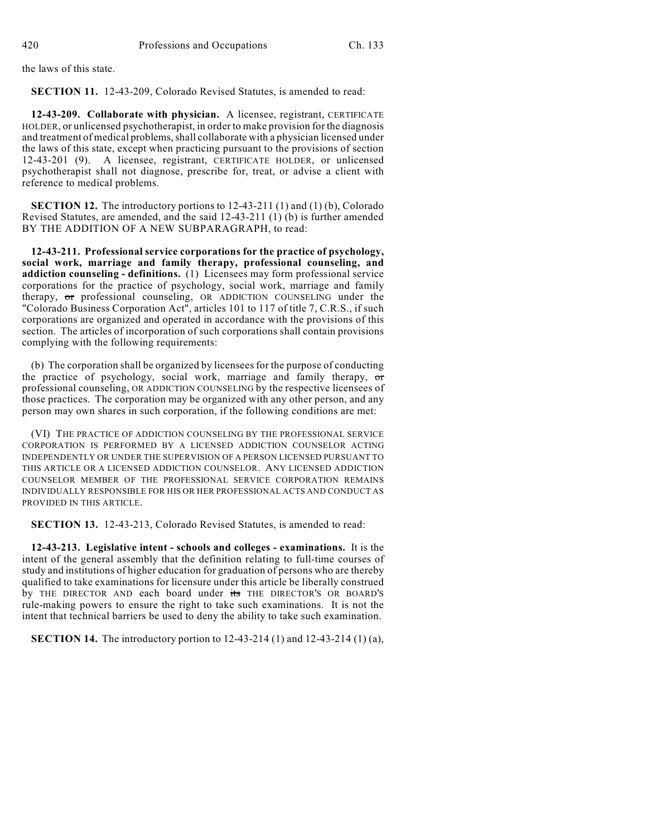the laws of this state.

**SECTION 11.** 12-43-209, Colorado Revised Statutes, is amended to read:

**12-43-209. Collaborate with physician.** A licensee, registrant, CERTIFICATE HOLDER, or unlicensed psychotherapist, in order to make provision for the diagnosis and treatment of medical problems, shall collaborate with a physician licensed under the laws of this state, except when practicing pursuant to the provisions of section 12-43-201 (9). A licensee, registrant, CERTIFICATE HOLDER, or unlicensed psychotherapist shall not diagnose, prescribe for, treat, or advise a client with reference to medical problems.

**SECTION 12.** The introductory portions to 12-43-211 (1) and (1) (b), Colorado Revised Statutes, are amended, and the said 12-43-211 (1) (b) is further amended BY THE ADDITION OF A NEW SUBPARAGRAPH, to read:

**12-43-211. Professional service corporations for the practice of psychology, social work, marriage and family therapy, professional counseling, and addiction counseling - definitions.** (1) Licensees may form professional service corporations for the practice of psychology, social work, marriage and family therapy, or professional counseling, OR ADDICTION COUNSELING under the "Colorado Business Corporation Act", articles 101 to 117 of title 7, C.R.S., if such corporations are organized and operated in accordance with the provisions of this section. The articles of incorporation of such corporations shall contain provisions complying with the following requirements:

(b) The corporation shall be organized by licensees for the purpose of conducting the practice of psychology, social work, marriage and family therapy, or professional counseling, OR ADDICTION COUNSELING by the respective licensees of those practices. The corporation may be organized with any other person, and any person may own shares in such corporation, if the following conditions are met:

(VI) THE PRACTICE OF ADDICTION COUNSELING BY THE PROFESSIONAL SERVICE CORPORATION IS PERFORMED BY A LICENSED ADDICTION COUNSELOR ACTING INDEPENDENTLY OR UNDER THE SUPERVISION OF A PERSON LICENSED PURSUANT TO THIS ARTICLE OR A LICENSED ADDICTION COUNSELOR. ANY LICENSED ADDICTION COUNSELOR MEMBER OF THE PROFESSIONAL SERVICE CORPORATION REMAINS INDIVIDUALLY RESPONSIBLE FOR HIS OR HER PROFESSIONAL ACTS AND CONDUCT AS PROVIDED IN THIS ARTICLE.

**SECTION 13.** 12-43-213, Colorado Revised Statutes, is amended to read:

**12-43-213. Legislative intent - schools and colleges - examinations.** It is the intent of the general assembly that the definition relating to full-time courses of study and institutions of higher education for graduation of persons who are thereby qualified to take examinations for licensure under this article be liberally construed by THE DIRECTOR AND each board under its THE DIRECTOR'S OR BOARD'S rule-making powers to ensure the right to take such examinations. It is not the intent that technical barriers be used to deny the ability to take such examination.

**SECTION 14.** The introductory portion to 12-43-214 (1) and 12-43-214 (1) (a),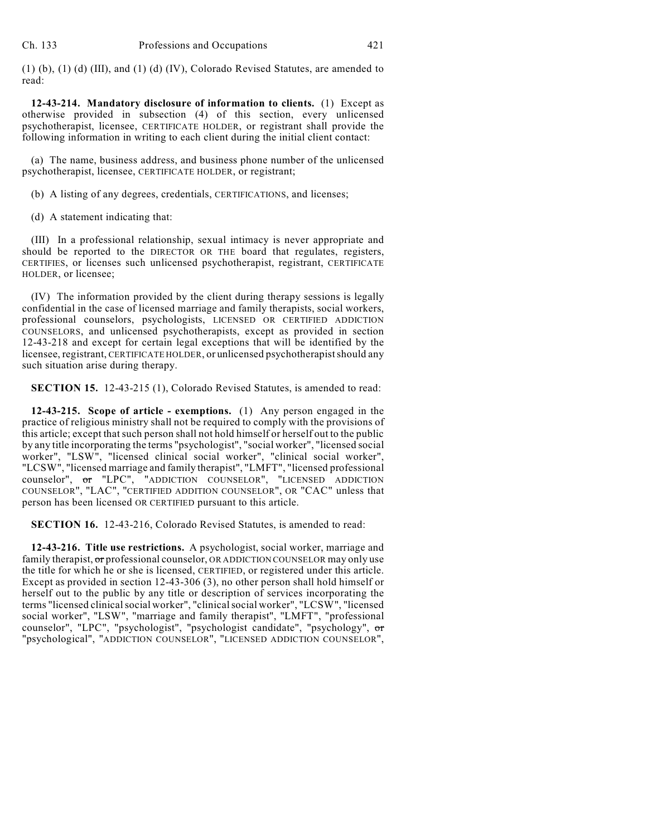(1) (b), (1) (d) (III), and (1) (d) (IV), Colorado Revised Statutes, are amended to read:

**12-43-214. Mandatory disclosure of information to clients.** (1) Except as otherwise provided in subsection (4) of this section, every unlicensed psychotherapist, licensee, CERTIFICATE HOLDER, or registrant shall provide the following information in writing to each client during the initial client contact:

(a) The name, business address, and business phone number of the unlicensed psychotherapist, licensee, CERTIFICATE HOLDER, or registrant;

(b) A listing of any degrees, credentials, CERTIFICATIONS, and licenses;

(d) A statement indicating that:

(III) In a professional relationship, sexual intimacy is never appropriate and should be reported to the DIRECTOR OR THE board that regulates, registers, CERTIFIES, or licenses such unlicensed psychotherapist, registrant, CERTIFICATE HOLDER, or licensee;

(IV) The information provided by the client during therapy sessions is legally confidential in the case of licensed marriage and family therapists, social workers, professional counselors, psychologists, LICENSED OR CERTIFIED ADDICTION COUNSELORS, and unlicensed psychotherapists, except as provided in section 12-43-218 and except for certain legal exceptions that will be identified by the licensee, registrant, CERTIFICATE HOLDER, or unlicensed psychotherapist should any such situation arise during therapy.

**SECTION 15.** 12-43-215 (1), Colorado Revised Statutes, is amended to read:

**12-43-215. Scope of article - exemptions.** (1) Any person engaged in the practice of religious ministry shall not be required to comply with the provisions of this article; except that such person shall not hold himself or herself out to the public by any title incorporating the terms "psychologist", "social worker", "licensed social worker", "LSW", "licensed clinical social worker", "clinical social worker", "LCSW", "licensed marriage and family therapist", "LMFT", "licensed professional counselor", or "LPC", "ADDICTION COUNSELOR", "LICENSED ADDICTION COUNSELOR", "LAC", "CERTIFIED ADDITION COUNSELOR", OR "CAC" unless that person has been licensed OR CERTIFIED pursuant to this article.

**SECTION 16.** 12-43-216, Colorado Revised Statutes, is amended to read:

**12-43-216. Title use restrictions.** A psychologist, social worker, marriage and family therapist, or professional counselor, OR ADDICTION COUNSELOR may only use the title for which he or she is licensed, CERTIFIED, or registered under this article. Except as provided in section 12-43-306 (3), no other person shall hold himself or herself out to the public by any title or description of services incorporating the terms "licensed clinical social worker", "clinical social worker", "LCSW", "licensed social worker", "LSW", "marriage and family therapist", "LMFT", "professional counselor", "LPC", "psychologist", "psychologist candidate", "psychology", or "psychological", "ADDICTION COUNSELOR", "LICENSED ADDICTION COUNSELOR",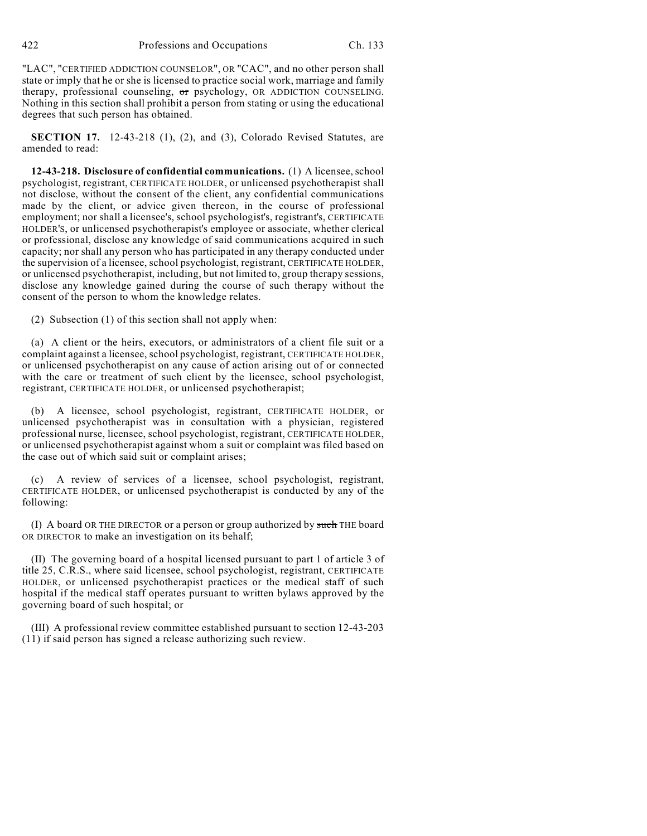"LAC", "CERTIFIED ADDICTION COUNSELOR", OR "CAC", and no other person shall state or imply that he or she is licensed to practice social work, marriage and family therapy, professional counseling,  $\sigma$ r psychology, OR ADDICTION COUNSELING. Nothing in this section shall prohibit a person from stating or using the educational degrees that such person has obtained.

**SECTION 17.** 12-43-218 (1), (2), and (3), Colorado Revised Statutes, are amended to read:

**12-43-218. Disclosure of confidential communications.** (1) A licensee, school psychologist, registrant, CERTIFICATE HOLDER, or unlicensed psychotherapist shall not disclose, without the consent of the client, any confidential communications made by the client, or advice given thereon, in the course of professional employment; nor shall a licensee's, school psychologist's, registrant's, CERTIFICATE HOLDER'S, or unlicensed psychotherapist's employee or associate, whether clerical or professional, disclose any knowledge of said communications acquired in such capacity; nor shall any person who has participated in any therapy conducted under the supervision of a licensee, school psychologist, registrant, CERTIFICATE HOLDER, or unlicensed psychotherapist, including, but not limited to, group therapy sessions, disclose any knowledge gained during the course of such therapy without the consent of the person to whom the knowledge relates.

(2) Subsection (1) of this section shall not apply when:

(a) A client or the heirs, executors, or administrators of a client file suit or a complaint against a licensee, school psychologist, registrant, CERTIFICATE HOLDER, or unlicensed psychotherapist on any cause of action arising out of or connected with the care or treatment of such client by the licensee, school psychologist, registrant, CERTIFICATE HOLDER, or unlicensed psychotherapist;

(b) A licensee, school psychologist, registrant, CERTIFICATE HOLDER, or unlicensed psychotherapist was in consultation with a physician, registered professional nurse, licensee, school psychologist, registrant, CERTIFICATE HOLDER, or unlicensed psychotherapist against whom a suit or complaint was filed based on the case out of which said suit or complaint arises;

(c) A review of services of a licensee, school psychologist, registrant, CERTIFICATE HOLDER, or unlicensed psychotherapist is conducted by any of the following:

(I) A board OR THE DIRECTOR or a person or group authorized by such THE board OR DIRECTOR to make an investigation on its behalf;

(II) The governing board of a hospital licensed pursuant to part 1 of article 3 of title 25, C.R.S., where said licensee, school psychologist, registrant, CERTIFICATE HOLDER, or unlicensed psychotherapist practices or the medical staff of such hospital if the medical staff operates pursuant to written bylaws approved by the governing board of such hospital; or

(III) A professional review committee established pursuant to section 12-43-203 (11) if said person has signed a release authorizing such review.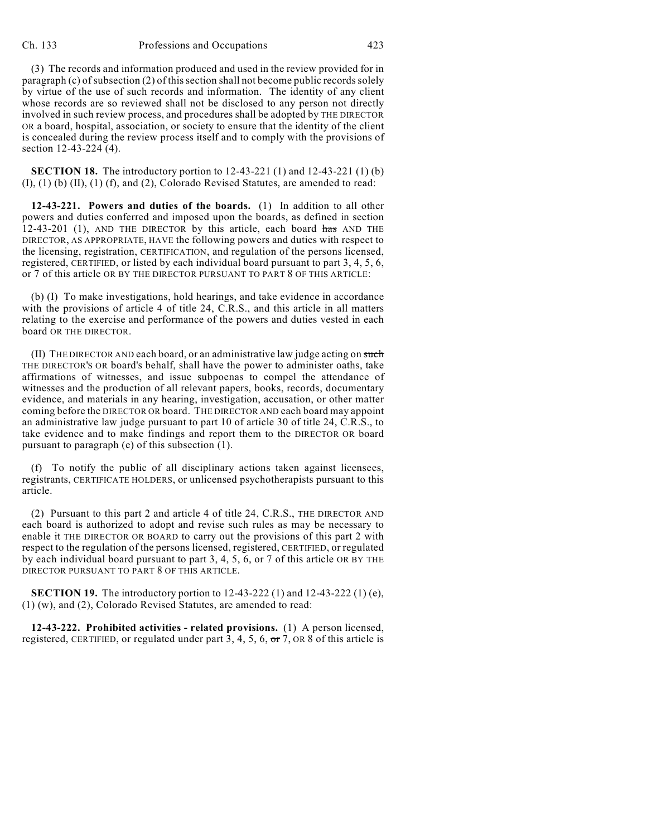(3) The records and information produced and used in the review provided for in paragraph (c) of subsection (2) of this section shall not become public records solely by virtue of the use of such records and information. The identity of any client whose records are so reviewed shall not be disclosed to any person not directly involved in such review process, and procedures shall be adopted by THE DIRECTOR OR a board, hospital, association, or society to ensure that the identity of the client is concealed during the review process itself and to comply with the provisions of section 12-43-224 (4).

**SECTION 18.** The introductory portion to 12-43-221 (1) and 12-43-221 (1) (b) (I), (1) (b) (II), (1) (f), and (2), Colorado Revised Statutes, are amended to read:

**12-43-221. Powers and duties of the boards.** (1) In addition to all other powers and duties conferred and imposed upon the boards, as defined in section  $12-43-201$  (1), AND THE DIRECTOR by this article, each board has AND THE DIRECTOR, AS APPROPRIATE, HAVE the following powers and duties with respect to the licensing, registration, CERTIFICATION, and regulation of the persons licensed, registered, CERTIFIED, or listed by each individual board pursuant to part 3, 4, 5, 6, or 7 of this article OR BY THE DIRECTOR PURSUANT TO PART 8 OF THIS ARTICLE:

(b) (I) To make investigations, hold hearings, and take evidence in accordance with the provisions of article 4 of title 24, C.R.S., and this article in all matters relating to the exercise and performance of the powers and duties vested in each board OR THE DIRECTOR.

 $(II)$  THE DIRECTOR AND each board, or an administrative law judge acting on such THE DIRECTOR'S OR board's behalf, shall have the power to administer oaths, take affirmations of witnesses, and issue subpoenas to compel the attendance of witnesses and the production of all relevant papers, books, records, documentary evidence, and materials in any hearing, investigation, accusation, or other matter coming before the DIRECTOR OR board. THE DIRECTOR AND each board may appoint an administrative law judge pursuant to part 10 of article 30 of title 24, C.R.S., to take evidence and to make findings and report them to the DIRECTOR OR board pursuant to paragraph (e) of this subsection (1).

(f) To notify the public of all disciplinary actions taken against licensees, registrants, CERTIFICATE HOLDERS, or unlicensed psychotherapists pursuant to this article.

(2) Pursuant to this part 2 and article 4 of title 24, C.R.S., THE DIRECTOR AND each board is authorized to adopt and revise such rules as may be necessary to enable it THE DIRECTOR OR BOARD to carry out the provisions of this part 2 with respect to the regulation of the persons licensed, registered, CERTIFIED, or regulated by each individual board pursuant to part 3, 4, 5, 6, or 7 of this article OR BY THE DIRECTOR PURSUANT TO PART 8 OF THIS ARTICLE.

**SECTION 19.** The introductory portion to 12-43-222 (1) and 12-43-222 (1) (e), (1) (w), and (2), Colorado Revised Statutes, are amended to read:

**12-43-222. Prohibited activities - related provisions.** (1) A person licensed, registered, CERTIFIED, or regulated under part 3, 4, 5, 6,  $\sigma$  7, OR 8 of this article is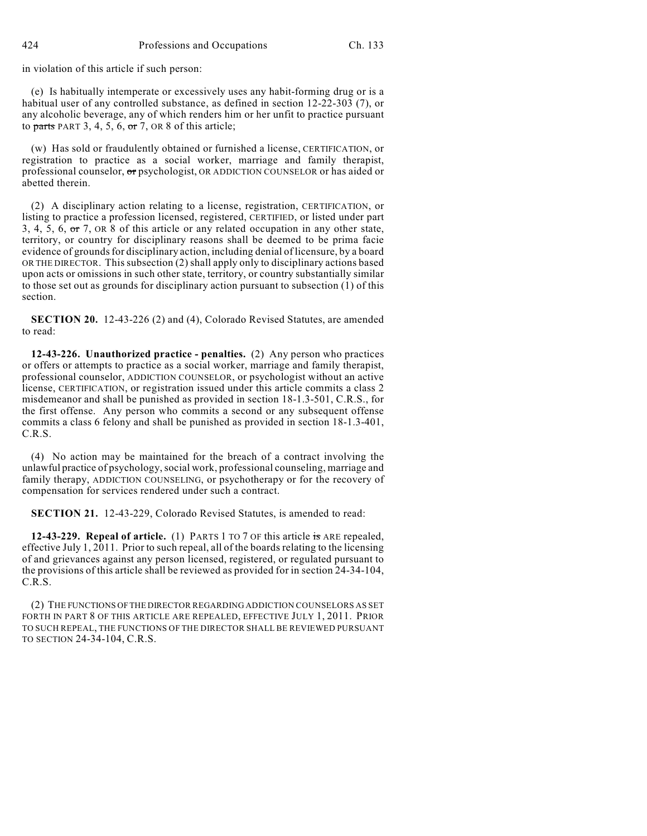in violation of this article if such person:

(e) Is habitually intemperate or excessively uses any habit-forming drug or is a habitual user of any controlled substance, as defined in section 12-22-303 (7), or any alcoholic beverage, any of which renders him or her unfit to practice pursuant to parts PART 3, 4, 5, 6,  $\sigma$ r 7, OR 8 of this article;

(w) Has sold or fraudulently obtained or furnished a license, CERTIFICATION, or registration to practice as a social worker, marriage and family therapist, professional counselor, or psychologist, OR ADDICTION COUNSELOR or has aided or abetted therein.

(2) A disciplinary action relating to a license, registration, CERTIFICATION, or listing to practice a profession licensed, registered, CERTIFIED, or listed under part 3, 4, 5, 6, or 7, OR 8 of this article or any related occupation in any other state, territory, or country for disciplinary reasons shall be deemed to be prima facie evidence of grounds for disciplinary action, including denial of licensure, by a board OR THE DIRECTOR. This subsection (2) shall apply only to disciplinary actions based upon acts or omissions in such other state, territory, or country substantially similar to those set out as grounds for disciplinary action pursuant to subsection (1) of this section.

**SECTION 20.** 12-43-226 (2) and (4), Colorado Revised Statutes, are amended to read:

**12-43-226. Unauthorized practice - penalties.** (2) Any person who practices or offers or attempts to practice as a social worker, marriage and family therapist, professional counselor, ADDICTION COUNSELOR, or psychologist without an active license, CERTIFICATION, or registration issued under this article commits a class 2 misdemeanor and shall be punished as provided in section 18-1.3-501, C.R.S., for the first offense. Any person who commits a second or any subsequent offense commits a class 6 felony and shall be punished as provided in section 18-1.3-401, C.R.S.

(4) No action may be maintained for the breach of a contract involving the unlawful practice of psychology, social work, professional counseling, marriage and family therapy, ADDICTION COUNSELING, or psychotherapy or for the recovery of compensation for services rendered under such a contract.

**SECTION 21.** 12-43-229, Colorado Revised Statutes, is amended to read:

**12-43-229. Repeal of article.** (1) PARTS 1 TO 7 OF this article is ARE repealed, effective July 1, 2011. Prior to such repeal, all of the boards relating to the licensing of and grievances against any person licensed, registered, or regulated pursuant to the provisions of this article shall be reviewed as provided for in section 24-34-104, C.R.S.

(2) THE FUNCTIONS OF THE DIRECTOR REGARDING ADDICTION COUNSELORS AS SET FORTH IN PART 8 OF THIS ARTICLE ARE REPEALED, EFFECTIVE JULY 1, 2011. PRIOR TO SUCH REPEAL, THE FUNCTIONS OF THE DIRECTOR SHALL BE REVIEWED PURSUANT TO SECTION 24-34-104, C.R.S.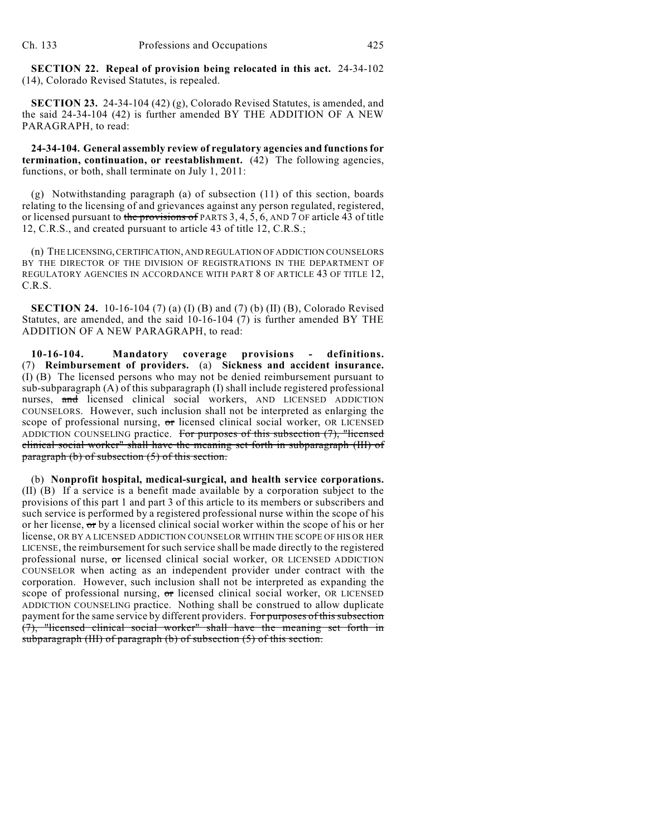**SECTION 22. Repeal of provision being relocated in this act.** 24-34-102 (14), Colorado Revised Statutes, is repealed.

**SECTION 23.** 24-34-104 (42) (g), Colorado Revised Statutes, is amended, and the said 24-34-104 (42) is further amended BY THE ADDITION OF A NEW PARAGRAPH, to read:

**24-34-104. General assembly review of regulatory agencies and functions for termination, continuation, or reestablishment.** (42) The following agencies, functions, or both, shall terminate on July 1, 2011:

(g) Notwithstanding paragraph (a) of subsection (11) of this section, boards relating to the licensing of and grievances against any person regulated, registered, or licensed pursuant to the provisions of PARTS  $3, 4, 5, 6$ , AND 7 OF article 43 of title 12, C.R.S., and created pursuant to article 43 of title 12, C.R.S.;

(n) THE LICENSING, CERTIFICATION, AND REGULATION OF ADDICTION COUNSELORS BY THE DIRECTOR OF THE DIVISION OF REGISTRATIONS IN THE DEPARTMENT OF REGULATORY AGENCIES IN ACCORDANCE WITH PART 8 OF ARTICLE 43 OF TITLE 12, C.R.S.

**SECTION 24.** 10-16-104 (7) (a) (I) (B) and (7) (b) (II) (B), Colorado Revised Statutes, are amended, and the said 10-16-104 (7) is further amended BY THE ADDITION OF A NEW PARAGRAPH, to read:

**10-16-104. Mandatory coverage provisions - definitions.** (7) **Reimbursement of providers.** (a) **Sickness and accident insurance.** (I) (B) The licensed persons who may not be denied reimbursement pursuant to sub-subparagraph (A) of this subparagraph (I) shall include registered professional nurses, and licensed clinical social workers, AND LICENSED ADDICTION COUNSELORS. However, such inclusion shall not be interpreted as enlarging the scope of professional nursing, or licensed clinical social worker, OR LICENSED ADDICTION COUNSELING practice. For purposes of this subsection  $(7)$ , "licensed clinical social worker" shall have the meaning set forth in subparagraph (III) of paragraph (b) of subsection (5) of this section.

(b) **Nonprofit hospital, medical-surgical, and health service corporations.** (II) (B) If a service is a benefit made available by a corporation subject to the provisions of this part 1 and part 3 of this article to its members or subscribers and such service is performed by a registered professional nurse within the scope of his or her license,  $\sigma r$  by a licensed clinical social worker within the scope of his or her license, OR BY A LICENSED ADDICTION COUNSELOR WITHIN THE SCOPE OF HIS OR HER LICENSE, the reimbursement for such service shall be made directly to the registered professional nurse, or licensed clinical social worker, OR LICENSED ADDICTION COUNSELOR when acting as an independent provider under contract with the corporation. However, such inclusion shall not be interpreted as expanding the scope of professional nursing, or licensed clinical social worker, OR LICENSED ADDICTION COUNSELING practice. Nothing shall be construed to allow duplicate payment for the same service by different providers. For purposes of this subsection  $(7)$ , "licensed clinical social worker" shall have the meaning set forth in subparagraph (III) of paragraph (b) of subsection (5) of this section.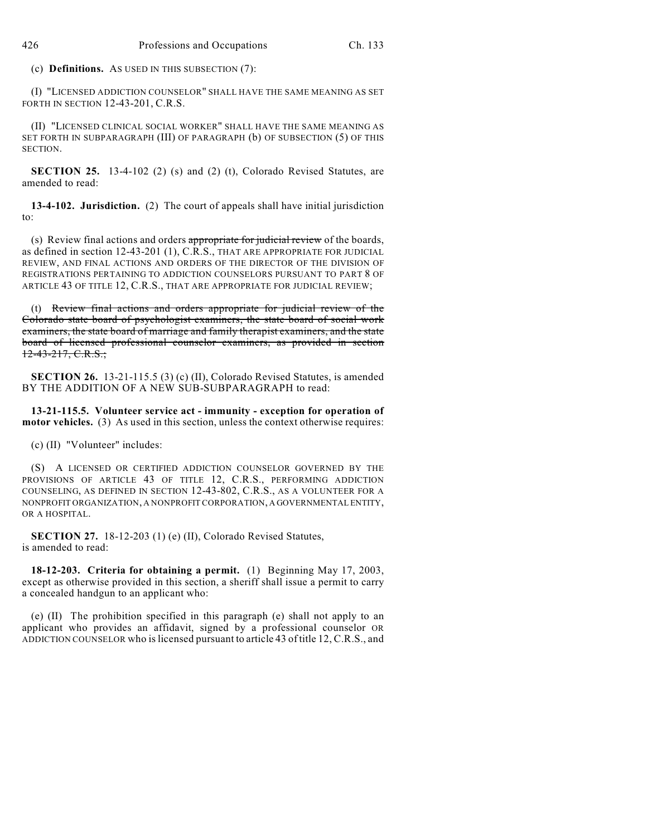(c) **Definitions.** AS USED IN THIS SUBSECTION (7):

(I) "LICENSED ADDICTION COUNSELOR" SHALL HAVE THE SAME MEANING AS SET FORTH IN SECTION 12-43-201, C.R.S.

(II) "LICENSED CLINICAL SOCIAL WORKER" SHALL HAVE THE SAME MEANING AS SET FORTH IN SUBPARAGRAPH (III) OF PARAGRAPH (b) OF SUBSECTION (5) OF THIS SECTION.

**SECTION 25.** 13-4-102 (2) (s) and (2) (t), Colorado Revised Statutes, are amended to read:

**13-4-102. Jurisdiction.** (2) The court of appeals shall have initial jurisdiction to:

(s) Review final actions and orders appropriate for judicial review of the boards, as defined in section 12-43-201 (1), C.R.S., THAT ARE APPROPRIATE FOR JUDICIAL REVIEW, AND FINAL ACTIONS AND ORDERS OF THE DIRECTOR OF THE DIVISION OF REGISTRATIONS PERTAINING TO ADDICTION COUNSELORS PURSUANT TO PART 8 OF ARTICLE 43 OF TITLE 12, C.R.S., THAT ARE APPROPRIATE FOR JUDICIAL REVIEW;

(t) Review final actions and orders appropriate for judicial review of the Colorado state board of psychologist examiners, the state board of social work examiners, the state board of marriage and family therapist examiners, and the state board of licensed professional counselor examiners, as provided in section 12-43-217, C.R.S.;

**SECTION 26.** 13-21-115.5 (3) (c) (II), Colorado Revised Statutes, is amended BY THE ADDITION OF A NEW SUB-SUBPARAGRAPH to read:

**13-21-115.5. Volunteer service act - immunity - exception for operation of motor vehicles.** (3) As used in this section, unless the context otherwise requires:

(c) (II) "Volunteer" includes:

(S) A LICENSED OR CERTIFIED ADDICTION COUNSELOR GOVERNED BY THE PROVISIONS OF ARTICLE 43 OF TITLE 12, C.R.S., PERFORMING ADDICTION COUNSELING, AS DEFINED IN SECTION 12-43-802, C.R.S., AS A VOLUNTEER FOR A NONPROFIT ORGANIZATION, A NONPROFIT CORPORATION, A GOVERNMENTAL ENTITY, OR A HOSPITAL.

**SECTION 27.** 18-12-203 (1) (e) (II), Colorado Revised Statutes, is amended to read:

**18-12-203. Criteria for obtaining a permit.** (1) Beginning May 17, 2003, except as otherwise provided in this section, a sheriff shall issue a permit to carry a concealed handgun to an applicant who:

(e) (II) The prohibition specified in this paragraph (e) shall not apply to an applicant who provides an affidavit, signed by a professional counselor OR ADDICTION COUNSELOR who is licensed pursuant to article 43 of title 12, C.R.S., and